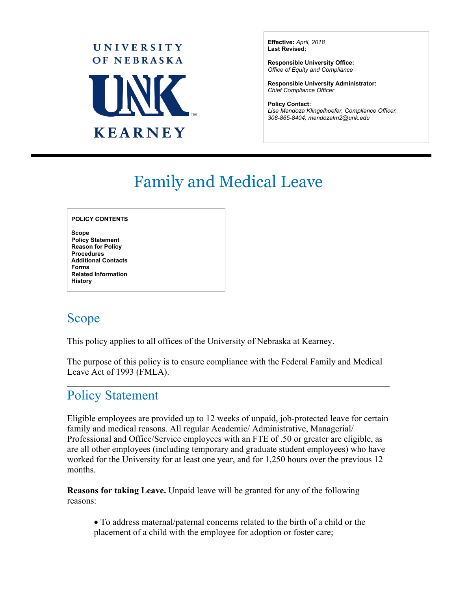

**Effective:** *April, 2018*  **Last Revised:**

**Responsible University Office:** *Office of Equity and Compliance* 

**Responsible University Administrator:**  *Chief Compliance Officer*

**Policy Contact:** *Lisa Mendoza Klingelhoefer, Compliance Officer, 308-865-8404, mendozalm2@unk.edu*

# Family and Medical Leave

#### **POLICY CONTENTS**

**Scope Policy Statement Reason for Policy Procedures Additional Contacts Forms Related Information History** 

### Scope

 $\overline{a}$ 

 $\overline{a}$ 

This policy applies to all offices of the University of Nebraska at Kearney.

The purpose of this policy is to ensure compliance with the Federal Family and Medical Leave Act of 1993 (FMLA).

# Policy Statement

Eligible employees are provided up to 12 weeks of unpaid, job-protected leave for certain family and medical reasons. All regular Academic/ Administrative, Managerial/ Professional and Office/Service employees with an FTE of .50 or greater are eligible, as are all other employees (including temporary and graduate student employees) who have worked for the University for at least one year, and for 1,250 hours over the previous 12 months.

**Reasons for taking Leave.** Unpaid leave will be granted for any of the following reasons:

• To address maternal/paternal concerns related to the birth of a child or the placement of a child with the employee for adoption or foster care;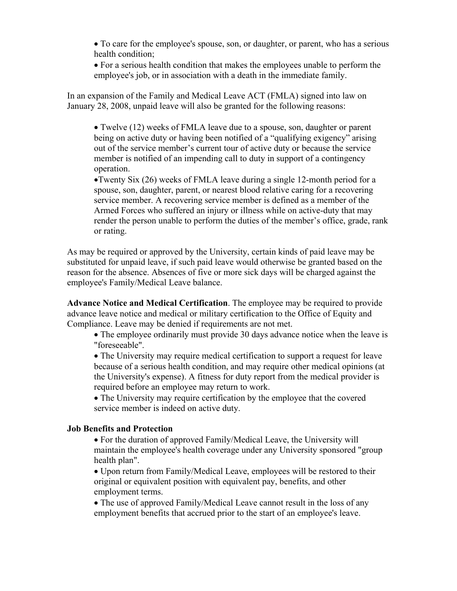- To care for the employee's spouse, son, or daughter, or parent, who has a serious health condition;
- For a serious health condition that makes the employees unable to perform the employee's job, or in association with a death in the immediate family.

In an expansion of the Family and Medical Leave ACT (FMLA) signed into law on January 28, 2008, unpaid leave will also be granted for the following reasons:

• Twelve (12) weeks of FMLA leave due to a spouse, son, daughter or parent being on active duty or having been notified of a "qualifying exigency" arising out of the service member's current tour of active duty or because the service member is notified of an impending call to duty in support of a contingency operation.

•Twenty Six (26) weeks of FMLA leave during a single 12-month period for a spouse, son, daughter, parent, or nearest blood relative caring for a recovering service member. A recovering service member is defined as a member of the Armed Forces who suffered an injury or illness while on active-duty that may render the person unable to perform the duties of the member's office, grade, rank or rating.

As may be required or approved by the University, certain kinds of paid leave may be substituted for unpaid leave, if such paid leave would otherwise be granted based on the reason for the absence. Absences of five or more sick days will be charged against the employee's Family/Medical Leave balance.

**Advance Notice and Medical Certification**. The employee may be required to provide advance leave notice and medical or military certification to the Office of Equity and Compliance. Leave may be denied if requirements are not met.

• The employee ordinarily must provide 30 days advance notice when the leave is "foreseeable".

• The University may require medical certification to support a request for leave because of a serious health condition, and may require other medical opinions (at the University's expense). A fitness for duty report from the medical provider is required before an employee may return to work.

• The University may require certification by the employee that the covered service member is indeed on active duty.

#### **Job Benefits and Protection**

• For the duration of approved Family/Medical Leave, the University will maintain the employee's health coverage under any University sponsored "group health plan".

• Upon return from Family/Medical Leave, employees will be restored to their original or equivalent position with equivalent pay, benefits, and other employment terms.

• The use of approved Family/Medical Leave cannot result in the loss of any employment benefits that accrued prior to the start of an employee's leave.